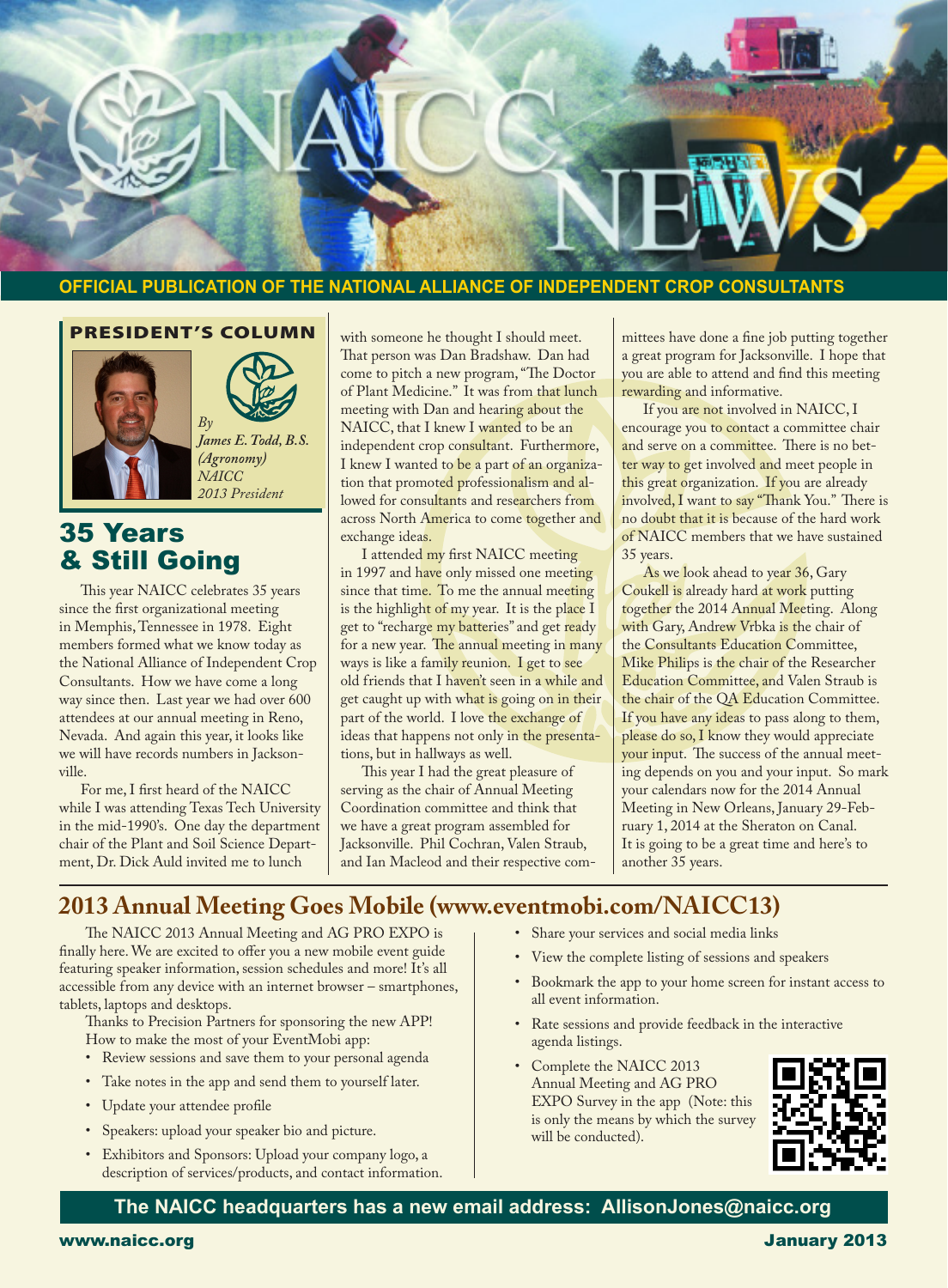

#### **OFFICIAL PUBLICATION OF THE NATIONAL ALLIANCE OF INDEPENDENT CROP CONSULTANTS**

#### PRESIDENT'S COLUMN



Ī



*(Agronomy) NAICC 2013 President*

## 35 Years & Still Going

This year NAICC celebrates 35 years since the first organizational meeting in Memphis, Tennessee in 1978. Eight members formed what we know today as the National Alliance of Independent Crop Consultants. How we have come a long way since then. Last year we had over 600 attendees at our annual meeting in Reno, Nevada. And again this year, it looks like we will have records numbers in Jacksonville.

For me, I first heard of the NAICC while I was attending Texas Tech University in the mid-1990's. One day the department chair of the Plant and Soil Science Department, Dr. Dick Auld invited me to lunch

with someone he thought I should meet. That person was Dan Bradshaw. Dan had come to pitch a new program, "The Doctor of Plant Medicine." It was from that lunch meeting with Dan and hearing about the NAICC, that I knew I wanted to be an independent crop consultant. Furthermore, I knew I wanted to be a part of an organization that promoted professionalism and allowed for consultants and researchers from across North America to come together and exchange ideas.

I attended my first NAICC meeting in 1997 and have only missed one meeting since that time. To me the annual meeting is the highlight of my year. It is the place I get to "recharge my batteries" and get ready for a new year. The annual meeting in many ways is like a family reunion. I get to see old friends that I haven't seen in a while and get caught up with what is going on in their part of the world. I love the exchange of ideas that happens not only in the presentations, but in hallways as well.

This year I had the great pleasure of serving as the chair of Annual Meeting Coordination committee and think that we have a great program assembled for Jacksonville. Phil Cochran, Valen Straub, and Ian Macleod and their respective committees have done a fine job putting together a great program for Jacksonville. I hope that you are able to attend and find this meeting rewarding and informative.

If you are not involved in NAICC, I encourage you to contact a committee chair and serve on a committee. There is no better way to get involved and meet people in this great organization. If you are already involved, I want to say "Thank You." There is no doubt that it is because of the hard work of NAICC members that we have sustained 35 years.

As we look ahead to year 36, Gary Coukell is already hard at work putting together the 2014 Annual Meeting. Along with Gary, Andrew Vrbka is the chair of the Consultants Education Committee, Mike Philips is the chair of the Researcher Education Committee, and Valen Straub is the chair of the QA Education Committee. If you have any ideas to pass along to them, please do so, I know they would appreciate your input. The success of the annual meeting depends on you and your input. So mark your calendars now for the 2014 Annual Meeting in New Orleans, January 29-February 1, 2014 at the Sheraton on Canal. It is going to be a great time and here's to another 35 years.

#### **2013 Annual Meeting Goes Mobile (www.eventmobi.com/NAICC13)**

The NAICC 2013 Annual Meeting and AG PRO EXPO is finally here. We are excited to offer you a new mobile event guide featuring speaker information, session schedules and more! It's all accessible from any device with an internet browser – smartphones, tablets, laptops and desktops.

Thanks to Precision Partners for sponsoring the new APP! How to make the most of your EventMobi app:

- • Review sessions and save them to your personal agenda
- • Take notes in the app and send them to yourself later.
- • Update your attendee profile
- • Speakers: upload your speaker bio and picture.
- • Exhibitors and Sponsors: Upload your company logo, a description of services/products, and contact information.
- • Share your services and social media links
- • View the complete listing of sessions and speakers
- Bookmark the app to your home screen for instant access to all event information.
- Rate sessions and provide feedback in the interactive agenda listings.
- Complete the NAICC 2013 Annual Meeting and AG PRO EXPO Survey in the app (Note: this is only the means by which the survey will be conducted).



#### **The NAICC headquarters has a new email address: AllisonJones@naicc.org**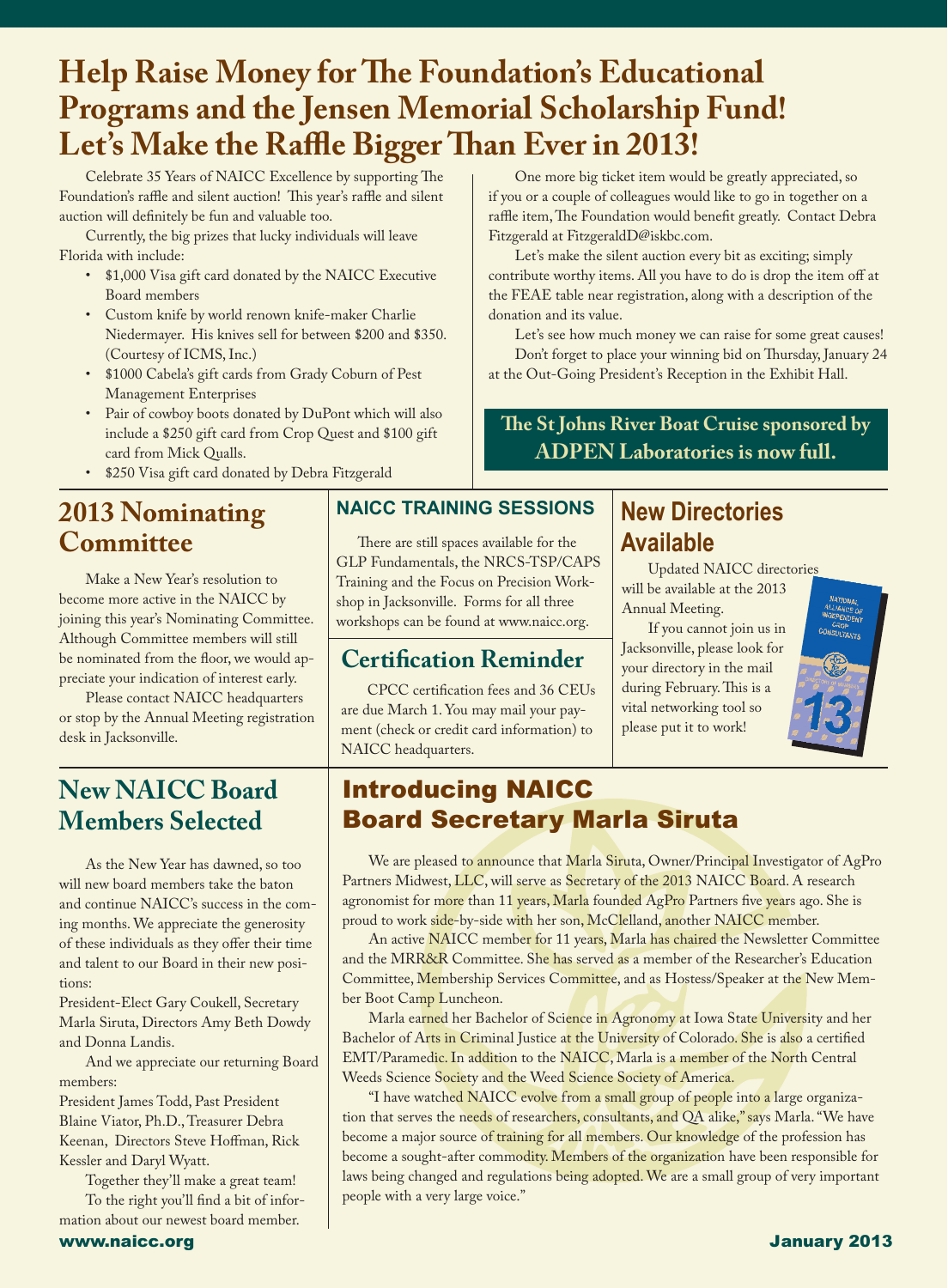# **Help Raise Money for The Foundation's Educational Programs and the Jensen Memorial Scholarship Fund! Let's Make the Raffle Bigger Than Ever in 2013!**

Celebrate 35 Years of NAICC Excellence by supporting The Foundation's raffle and silent auction! This year's raffle and silent auction will definitely be fun and valuable too.

Currently, the big prizes that lucky individuals will leave Florida with include:

- • \$1,000 Visa gift card donated by the NAICC Executive Board members
- Custom knife by world renown knife-maker Charlie Niedermayer. His knives sell for between \$200 and \$350. (Courtesy of ICMS, Inc.)
- \$1000 Cabela's gift cards from Grady Coburn of Pest Management Enterprises
- • Pair of cowboy boots donated by DuPont which will also include a \$250 gift card from Crop Quest and \$100 gift card from Mick Qualls.
- • \$250 Visa gift card donated by Debra Fitzgerald

# **2013 Nominating Committee**

Make a New Year's resolution to become more active in the NAICC by joining this year's Nominating Committee. Although Committee members will still be nominated from the floor, we would appreciate your indication of interest early.

Please contact NAICC headquarters or stop by the Annual Meeting registration desk in Jacksonville.

# **New NAICC Board Members Selected**

As the New Year has dawned, so too will new board members take the baton and continue NAICC's success in the coming months. We appreciate the generosity of these individuals as they offer their time and talent to our Board in their new positions:

President-Elect Gary Coukell, Secretary Marla Siruta, Directors Amy Beth Dowdy and Donna Landis.

And we appreciate our returning Board members:

President James Todd, Past President Blaine Viator, Ph.D., Treasurer Debra Keenan, Directors Steve Hoffman, Rick Kessler and Daryl Wyatt.

Together they'll make a great team! To the right you'll find a bit of infor-

mation about our newest board member.

#### **NAICC TRAINING SESSIONS**

There are still spaces available for the GLP Fundamentals, the NRCS-TSP/CAPS Training and the Focus on Precision Workshop in Jacksonville. Forms for all three workshops can be found at www.naicc.org.

## **Certification Reminder**

CPCC certification fees and 36 CEUs are due March 1. You may mail your payment (check or credit card information) to NAICC headquarters.

One more big ticket item would be greatly appreciated, so if you or a couple of colleagues would like to go in together on a raffle item, The Foundation would benefit greatly. Contact Debra Fitzgerald at FitzgeraldD@iskbc.com.

Let's make the silent auction every bit as exciting; simply contribute worthy items. All you have to do is drop the item off at the FEAE table near registration, along with a description of the donation and its value.

Let's see how much money we can raise for some great causes! Don't forget to place your winning bid on Thursday, January 24 at the Out-Going President's Reception in the Exhibit Hall.

**The St Johns River Boat Cruise sponsored by ADPEN Laboratories is now full.**

# **New Directories Available**

Updated NAICC directories will be available at the 2013 Annual Meeting.

If you cannot join us in Jacksonville, please look for your directory in the mail during February. This is a vital networking tool so please put it to work!



# Introducing NAICC Board Secretary Marla Siruta

We are pleased to announce that Marla Siruta, Owner/Principal Investigator of AgPro Partners Midwest, LLC, will serve as Secretary of the 2013 NAICC Board. A research agronomist for more than 11 years, Marla founded AgPro Partners five years ago. She is proud to work side-by-side with her son, McClelland, another NAICC member.

An active NAICC member for 11 years, Marla has chaired the Newsletter Committee and the MRR&R Committee. She has served as a member of the Researcher's Education Committee, Membership Services Committee, and as Hostess/Speaker at the New Member Boot Camp Luncheon.

Marla earned her Bachelor of Science in Agronomy at Iowa State University and her Bachelor of Arts in Criminal Justice at the University of Colorado. She is also a certified EMT/Paramedic. In addition to the NAICC, Marla is a member of the North Central Weeds Science Society and the Weed Science Society of America.

"I have watched NAICC evolve from a small group of people into a large organization that serves the needs of researchers, consultants, and QA alike," says Marla. "We have become a major source of training for all members. Our knowledge of the profession has become a sought-after commodity. Members of the organization have been responsible for laws being changed and regulations being adopted. We are a small group of very important people with a very large voice."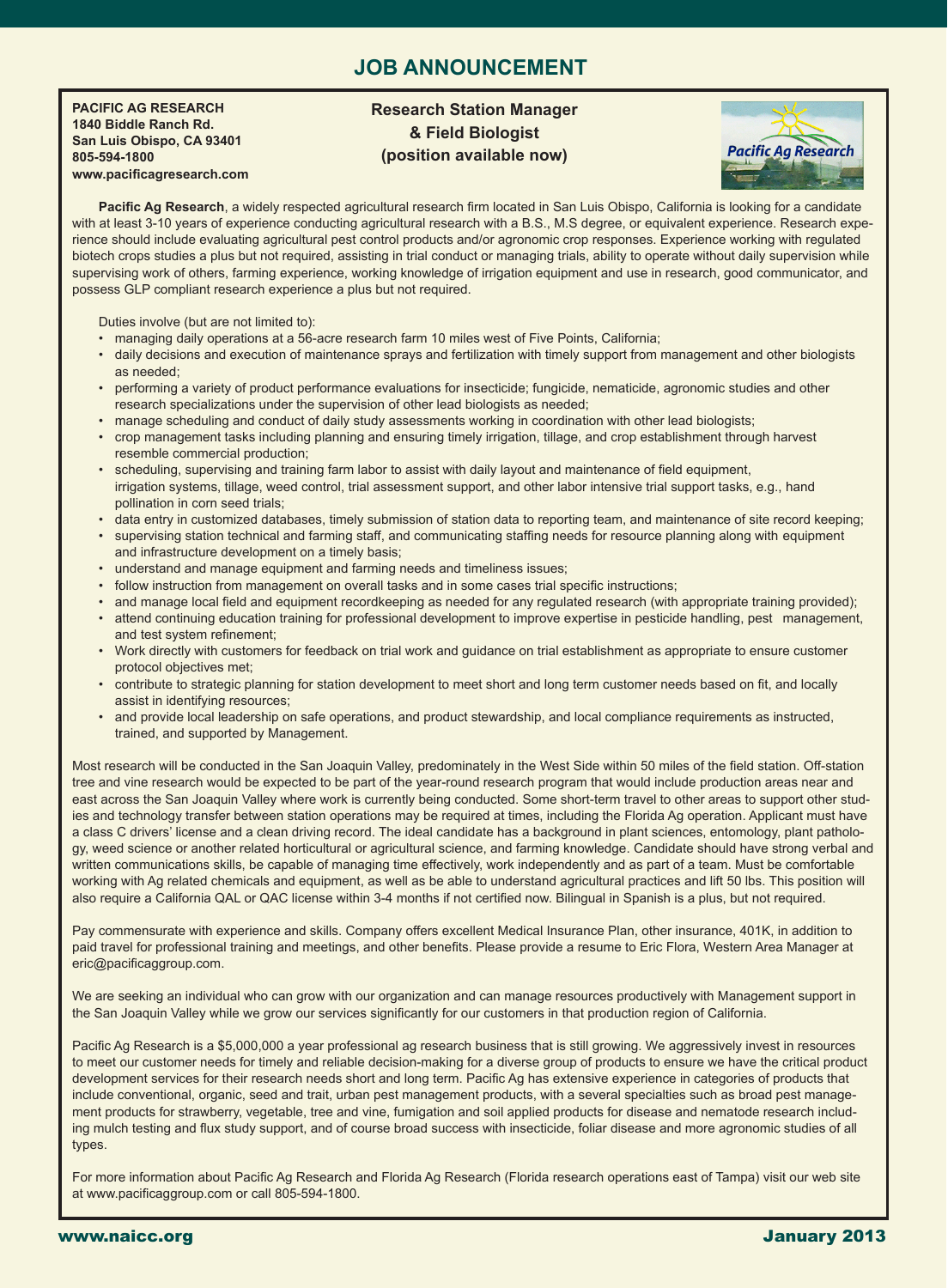### **JOB ANNOUNCEMENT**

**PACIFIC AG RESEARCH 1840 Biddle Ranch Rd. San Luis Obispo, CA 93401 805-594-1800 www.pacificagresearch.com**

j

#### **Research Station Manager & Field Biologist (position available now)**



Pacific Ag Research, a widely respected agricultural research firm located in San Luis Obispo, California is looking for a candidate with at least 3-10 years of experience conducting agricultural research with a B.S., M.S degree, or equivalent experience. Research experience should include evaluating agricultural pest control products and/or agronomic crop responses. Experience working with regulated biotech crops studies a plus but not required, assisting in trial conduct or managing trials, ability to operate without daily supervision while supervising work of others, farming experience, working knowledge of irrigation equipment and use in research, good communicator, and possess GLP compliant research experience a plus but not required.

Duties involve (but are not limited to):

- managing daily operations at a 56-acre research farm 10 miles west of Five Points, California;
- daily decisions and execution of maintenance sprays and fertilization with timely support from management and other biologists as needed;
- performing a variety of product performance evaluations for insecticide; fungicide, nematicide, agronomic studies and other research specializations under the supervision of other lead biologists as needed;
- manage scheduling and conduct of daily study assessments working in coordination with other lead biologists;
- crop management tasks including planning and ensuring timely irrigation, tillage, and crop establishment through harvest resemble commercial production;
- scheduling, supervising and training farm labor to assist with daily layout and maintenance of field equipment, irrigation systems, tillage, weed control, trial assessment support, and other labor intensive trial support tasks, e.g., hand pollination in corn seed trials;
- data entry in customized databases, timely submission of station data to reporting team, and maintenance of site record keeping;
- supervising station technical and farming staff, and communicating staffing needs for resource planning along with equipment and infrastructure development on a timely basis;
- understand and manage equipment and farming needs and timeliness issues;
- follow instruction from management on overall tasks and in some cases trial specific instructions;
- and manage local field and equipment recordkeeping as needed for any regulated research (with appropriate training provided);
- attend continuing education training for professional development to improve expertise in pesticide handling, pest management, and test system refinement;
- Work directly with customers for feedback on trial work and guidance on trial establishment as appropriate to ensure customer protocol objectives met;
- contribute to strategic planning for station development to meet short and long term customer needs based on fit, and locally assist in identifying resources;
- and provide local leadership on safe operations, and product stewardship, and local compliance requirements as instructed, trained, and supported by Management.

Most research will be conducted in the San Joaquin Valley, predominately in the West Side within 50 miles of the field station. Off-station tree and vine research would be expected to be part of the year-round research program that would include production areas near and east across the San Joaquin Valley where work is currently being conducted. Some short-term travel to other areas to support other studies and technology transfer between station operations may be required at times, including the Florida Ag operation. Applicant must have a class C drivers' license and a clean driving record. The ideal candidate has a background in plant sciences, entomology, plant pathology, weed science or another related horticultural or agricultural science, and farming knowledge. Candidate should have strong verbal and written communications skills, be capable of managing time effectively, work independently and as part of a team. Must be comfortable working with Ag related chemicals and equipment, as well as be able to understand agricultural practices and lift 50 lbs. This position will also require a California QAL or QAC license within 3-4 months if not certified now. Bilingual in Spanish is a plus, but not required.

Pay commensurate with experience and skills. Company offers excellent Medical Insurance Plan, other insurance, 401K, in addition to paid travel for professional training and meetings, and other benefits. Please provide a resume to Eric Flora, Western Area Manager at eric@pacificaggroup.com.

We are seeking an individual who can grow with our organization and can manage resources productively with Management support in the San Joaquin Valley while we grow our services significantly for our customers in that production region of California.

Pacific Ag Research is a \$5,000,000 a year professional ag research business that is still growing. We aggressively invest in resources to meet our customer needs for timely and reliable decision-making for a diverse group of products to ensure we have the critical product development services for their research needs short and long term. Pacific Ag has extensive experience in categories of products that include conventional, organic, seed and trait, urban pest management products, with a several specialties such as broad pest management products for strawberry, vegetable, tree and vine, fumigation and soil applied products for disease and nematode research including mulch testing and flux study support, and of course broad success with insecticide, foliar disease and more agronomic studies of all types.

For more information about Pacific Ag Research and Florida Ag Research (Florida research operations east of Tampa) visit our web site at www.pacificaggroup.com or call 805-594-1800.